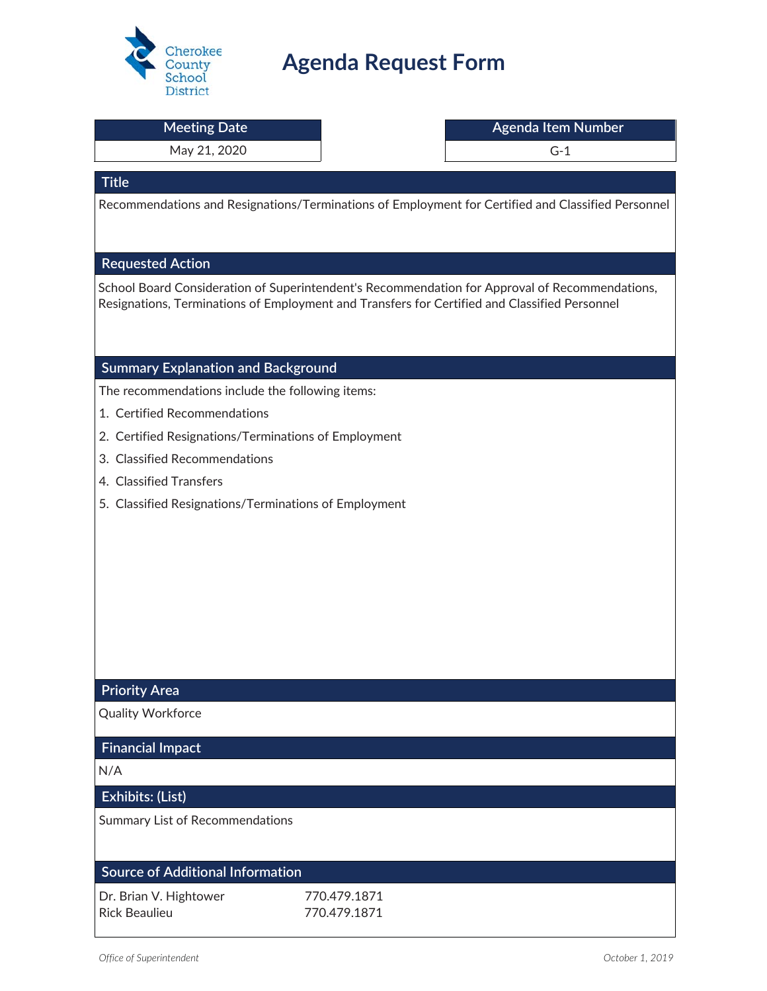

# **Agenda Request Form**

| <b>Meeting Date</b>                                   |                              | Agenda Item Number                                                                                                                                                                              |  |
|-------------------------------------------------------|------------------------------|-------------------------------------------------------------------------------------------------------------------------------------------------------------------------------------------------|--|
| May 21, 2020                                          |                              | $G-1$                                                                                                                                                                                           |  |
| <b>Title</b>                                          |                              |                                                                                                                                                                                                 |  |
|                                                       |                              | Recommendations and Resignations/Terminations of Employment for Certified and Classified Personnel                                                                                              |  |
|                                                       |                              |                                                                                                                                                                                                 |  |
|                                                       |                              |                                                                                                                                                                                                 |  |
| <b>Requested Action</b>                               |                              |                                                                                                                                                                                                 |  |
|                                                       |                              | School Board Consideration of Superintendent's Recommendation for Approval of Recommendations,<br>Resignations, Terminations of Employment and Transfers for Certified and Classified Personnel |  |
|                                                       |                              |                                                                                                                                                                                                 |  |
|                                                       |                              |                                                                                                                                                                                                 |  |
| <b>Summary Explanation and Background</b>             |                              |                                                                                                                                                                                                 |  |
| The recommendations include the following items:      |                              |                                                                                                                                                                                                 |  |
| 1. Certified Recommendations                          |                              |                                                                                                                                                                                                 |  |
| 2. Certified Resignations/Terminations of Employment  |                              |                                                                                                                                                                                                 |  |
| 3. Classified Recommendations                         |                              |                                                                                                                                                                                                 |  |
| 4. Classified Transfers                               |                              |                                                                                                                                                                                                 |  |
| 5. Classified Resignations/Terminations of Employment |                              |                                                                                                                                                                                                 |  |
|                                                       |                              |                                                                                                                                                                                                 |  |
|                                                       |                              |                                                                                                                                                                                                 |  |
|                                                       |                              |                                                                                                                                                                                                 |  |
|                                                       |                              |                                                                                                                                                                                                 |  |
|                                                       |                              |                                                                                                                                                                                                 |  |
|                                                       |                              |                                                                                                                                                                                                 |  |
|                                                       |                              |                                                                                                                                                                                                 |  |
| <b>Priority Area</b>                                  |                              |                                                                                                                                                                                                 |  |
| <b>Quality Workforce</b>                              |                              |                                                                                                                                                                                                 |  |
| <b>Financial Impact</b>                               |                              |                                                                                                                                                                                                 |  |
| N/A                                                   |                              |                                                                                                                                                                                                 |  |
| Exhibits: (List)                                      |                              |                                                                                                                                                                                                 |  |
| Summary List of Recommendations                       |                              |                                                                                                                                                                                                 |  |
|                                                       |                              |                                                                                                                                                                                                 |  |
|                                                       |                              |                                                                                                                                                                                                 |  |
| <b>Source of Additional Information</b>               |                              |                                                                                                                                                                                                 |  |
| Dr. Brian V. Hightower<br><b>Rick Beaulieu</b>        | 770.479.1871<br>770.479.1871 |                                                                                                                                                                                                 |  |
|                                                       |                              |                                                                                                                                                                                                 |  |
|                                                       |                              |                                                                                                                                                                                                 |  |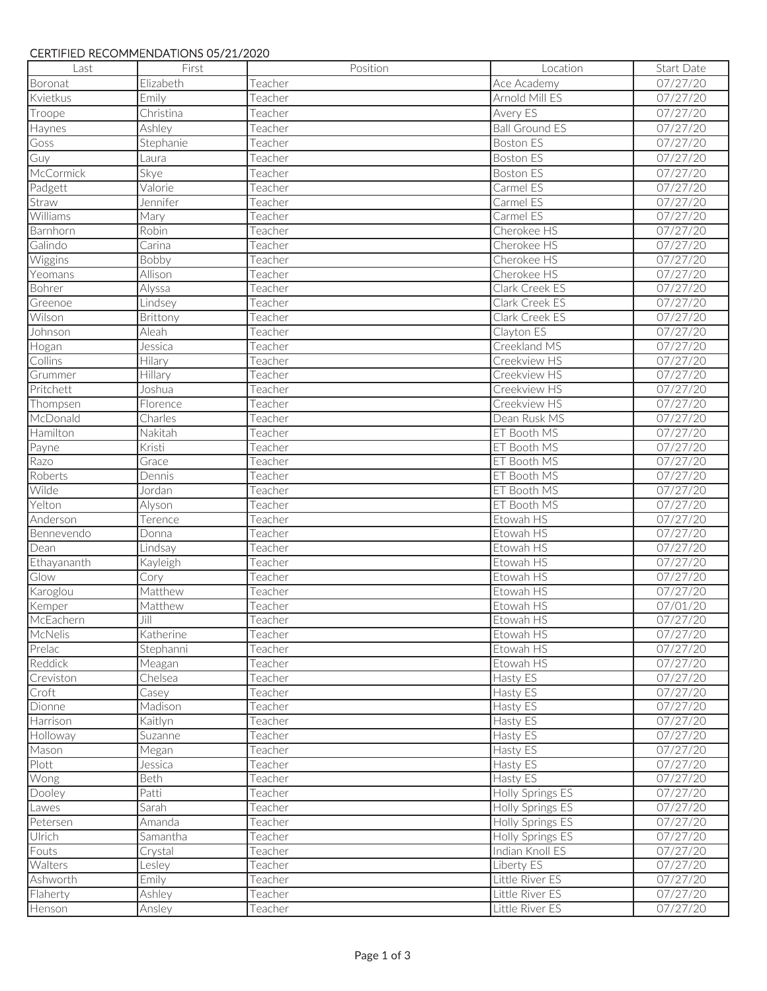#### CERTIFIED RECOMMENDATIONS 05/21/2020

| Last                 | First     | Position | Location                           | Start Date           |
|----------------------|-----------|----------|------------------------------------|----------------------|
| Boronat              | Elizabeth | Teacher  | Ace Academy                        | 07/27/20             |
| Kvietkus             | Emily     | Teacher  | Arnold Mill ES                     | 07/27/20             |
| Troope               | Christina | Teacher  | Avery ES                           | 07/27/20             |
| Haynes               | Ashley    | Teacher  | <b>Ball Ground ES</b>              | 07/27/20             |
| Goss                 | Stephanie | Teacher  | <b>Boston ES</b>                   | 07/27/20             |
| Guy                  | Laura     | Teacher  | <b>Boston ES</b>                   | 07/27/20             |
| McCormick            | Skye      | Teacher  | <b>Boston ES</b>                   | 07/27/20             |
| Padgett              | Valorie   | Teacher  | Carmel ES                          | 07/27/20             |
| Straw                | Jennifer  | Teacher  | Carmel ES                          | 07/27/20             |
| Williams             | Mary      | Teacher  | Carmel ES                          | 07/27/20             |
| Barnhorn             | Robin     | Teacher  | Cherokee HS                        | 07/27/20             |
| Galindo              | Carina    | Teacher  | Cherokee HS                        | 07/27/20             |
| Wiggins              | Bobby     | Teacher  | Cherokee HS                        | 07/27/20             |
| Yeomans              | Allison   | Teacher  | Cherokee HS                        | 07/27/20             |
| Bohrer               | Alyssa    | Teacher  | Clark Creek ES                     | 07/27/20             |
| Greenoe              | Lindsey   | Teacher  | Clark Creek ES                     | 07/27/20             |
| Wilson               | Brittony  | Teacher  | Clark Creek ES                     | 07/27/20             |
| Johnson              | Aleah     | Teacher  | Clayton ES                         | 07/27/20             |
| Hogan                | Jessica   | Teacher  | Creekland MS                       | 07/27/20             |
| Collins              | Hilary    | Teacher  | Creekview HS                       | 07/27/20             |
| Grummer              | Hillary   | Teacher  | Creekview HS                       | 07/27/20             |
| Pritchett            | Joshua    | Teacher  | Creekview HS                       | 07/27/20             |
| Thompsen             | Florence  | Teacher  | Creekview HS                       | 07/27/20             |
| McDonald             | Charles   | Teacher  | Dean Rusk MS                       | 07/27/20             |
| Hamilton             | Nakitah   | Teacher  | ET Booth MS                        | 07/27/20             |
| Payne                | Kristi    | Teacher  | ET Booth MS                        | 07/27/20             |
| Razo                 | Grace     | Teacher  | ET Booth MS                        | 07/27/20             |
| Roberts              | Dennis    | Teacher  | ET Booth MS                        | 07/27/20             |
| Wilde                | Jordan    | Teacher  | ET Booth MS                        | 07/27/20             |
| Yelton               | Alyson    | Teacher  | ET Booth MS                        | 07/27/20             |
| Anderson             | Terence   | Teacher  | Etowah HS                          | 07/27/20             |
| Bennevendo           | Donna     | Teacher  | Etowah HS                          | 07/27/20             |
| Dean                 | Lindsay   | Teacher  | Etowah HS                          | 07/27/20             |
| Ethayananth          | Kayleigh  | Teacher  | Etowah HS                          | 07/27/20             |
| Glow                 | Cory      | Teacher  | Etowah HS                          | 07/27/20             |
| Karoglou             | Matthew   | Teacher  | Etowah HS                          | 07/27/20             |
| Kemper               | Matthew   | Teacher  | Etowah HS                          | 07/01/20             |
| McEachern            | $J$ ill   | Teacher  | Etowah HS                          | 07/27/20             |
| McNelis              | Katherine | Teacher  | Etowah HS                          | 07/27/20             |
| Prelac               | Stephanni | Teacher  | Etowah HS                          | 07/27/20             |
| Reddick              | Meagan    | Teacher  | Etowah HS                          | 07/27/20             |
| Creviston            | Chelsea   | Teacher  | Hasty ES                           | 07/27/20             |
| Croft                | Casey     | Teacher  | Hasty ES                           | 07/27/20             |
| Dionne               | Madison   | Teacher  | Hasty ES                           | 07/27/20             |
| Harrison             | Kaitlyn   | Teacher  | Hasty ES                           | 07/27/20             |
| Holloway             | Suzanne   | Teacher  | Hasty ES                           | 07/27/20             |
| Mason                | Megan     | Teacher  | Hasty ES                           | 07/27/20             |
| Plott                | Jessica   | Teacher  | Hasty ES                           | 07/27/20             |
| Wong                 | Beth      | Teacher  | Hasty ES                           | 07/27/20             |
| Dooley               | Patti     | Teacher  | Holly Springs ES                   | 07/27/20             |
| Lawes                | Sarah     | Teacher  | Holly Springs ES                   | 07/27/20             |
| Petersen             | Amanda    | Teacher  | Holly Springs ES                   | 07/27/20             |
| Ulrich               | Samantha  | Teacher  | Holly Springs ES                   | 07/27/20             |
| Fouts                | Crystal   | Teacher  | Indian Knoll ES                    | 07/27/20             |
| Walters              | Lesley    | Teacher  | Liberty ES                         | 07/27/20             |
| Ashworth<br>Flaherty | Emily     | Teacher  | Little River ES<br>Little River ES | 07/27/20<br>07/27/20 |
|                      | Ashley    | Teacher  | Little River ES                    |                      |
| Henson               | Ansley    | Teacher  |                                    | 07/27/20             |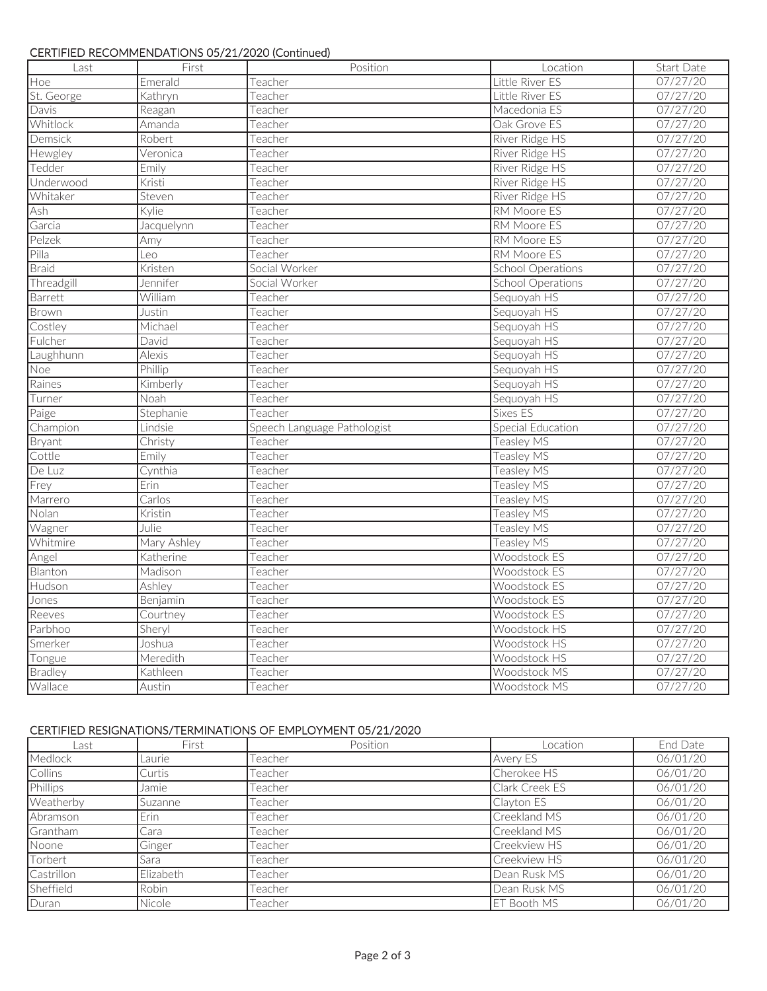## CERTIFIED RECOMMENDATIONS 05/21/2020 (Continued)

| Last         | First                | Position                    | Location                 | <b>Start Date</b> |
|--------------|----------------------|-----------------------------|--------------------------|-------------------|
| Hoe          | Emerald              | Teacher                     | Little River ES          | 07/27/20          |
| St. George   | Kathryn              | Teacher                     | Little River ES          | 07/27/20          |
| Davis        | Reagan               | Teacher                     | Macedonia ES             | 07/27/20          |
| Whitlock     | Amanda               | Teacher                     | Oak Grove ES             | 07/27/20          |
| Demsick      | Robert               | Teacher                     | River Ridge HS           | 07/27/20          |
| Hewgley      | Veronica             | Teacher                     | River Ridge HS           | 07/27/20          |
| Tedder       | Emily                | Teacher                     | <b>River Ridge HS</b>    | 07/27/20          |
| Underwood    | Kristi               | Teacher                     | River Ridge HS           | 07/27/20          |
| Whitaker     | Steven               | Teacher                     | River Ridge HS           | 07/27/20          |
| Ash          | Kylie                | Teacher                     | <b>RM Moore ES</b>       | 07/27/20          |
| Garcia       | Jacquelynn           | Teacher                     | <b>RM Moore ES</b>       | 07/27/20          |
| Pelzek       | Amy                  | Teacher                     | RM Moore ES              | 07/27/20          |
| Pilla        | Leo                  | Teacher                     | <b>RM Moore ES</b>       | 07/27/20          |
| <b>Braid</b> | Kristen              | Social Worker               | <b>School Operations</b> | 07/27/20          |
| Threadgill   | Jennifer             | Social Worker               | <b>School Operations</b> | 07/27/20          |
| Barrett      | William              | Teacher                     | Sequoyah HS              | 07/27/20          |
| Brown        | Justin               | Teacher                     | Sequoyah HS              | 07/27/20          |
| Costley      | Michael              | Teacher                     | Sequoyah HS              | 07/27/20          |
| Fulcher      | David                | Teacher                     | Sequoyah HS              | 07/27/20          |
| Laughhunn    | <b>Alexis</b>        | Teacher                     | Sequoyah HS              | 07/27/20          |
| <b>Noe</b>   | Phillip              | Teacher                     | Sequoyah HS              | 07/27/20          |
| Raines       | Kimberly             | Teacher                     | Sequoyah HS              | 07/27/20          |
| Turner       | Noah                 | Teacher                     | Sequoyah HS              | 07/27/20          |
| Paige        | Stephanie            | Teacher                     | Sixes ES                 | 07/27/20          |
| Champion     | Lindsie              | Speech Language Pathologist | Special Education        | 07/27/20          |
| Bryant       | Christy              | Teacher                     | Teasley MS               | 07/27/20          |
| Cottle       | Emily                | Teacher                     | Teasley MS               | 07/27/20          |
| De Luz       | Cynthia              | Teacher                     | <b>Teasley MS</b>        | 07/27/20          |
| Frey         | Erin                 | Teacher                     | Teasley MS               | 07/27/20          |
| Marrero      | $\overline{C}$ arlos | Teacher                     | Teasley MS               | 07/27/20          |
| Nolan        | Kristin              | Teacher                     | <b>Teasley MS</b>        | 07/27/20          |
| Wagner       | Julie                | Teacher                     | Teasley MS               | 07/27/20          |
| Whitmire     | Mary Ashley          | Teacher                     | Teasley MS               | 07/27/20          |
| Angel        | Katherine            | Teacher                     | <b>Woodstock ES</b>      | 07/27/20          |
| Blanton      | Madison              | Teacher                     | Woodstock ES             | 07/27/20          |
| Hudson       | Ashley               | Teacher                     | <b>Woodstock ES</b>      | 07/27/20          |
| Jones        | Benjamin             | Teacher                     | Woodstock ES             | 07/27/20          |
| Reeves       | Courtney             | Teacher                     | Woodstock ES             | 07/27/20          |
| Parbhoo      | Sheryl               | Teacher                     | Woodstock HS             | 07/27/20          |
| Smerker      | Joshua               | Teacher                     | Woodstock HS             | 07/27/20          |
| Tongue       | Meredith             | Teacher                     | Woodstock HS             | 07/27/20          |
| Bradley      | Kathleen             | Teacher                     | Woodstock MS             | 07/27/20          |
| Wallace      | Austin               | Teacher                     | <b>Woodstock MS</b>      | 07/27/20          |

# CERTIFIED RESIGNATIONS/TERMINATIONS OF EMPLOYMENT 05/21/2020

| Last       | First     | Position | Location       | End Date |
|------------|-----------|----------|----------------|----------|
| Medlock    | Laurie    | Teacher  | Avery ES       | 06/01/20 |
| Collins    | Curtis    | Teacher  | Cherokee HS    | 06/01/20 |
| Phillips   | Jamie     | Teacher  | Clark Creek ES | 06/01/20 |
| Weatherby  | Suzanne   | Teacher  | Clayton ES     | 06/01/20 |
| Abramson   | Erin      | Teacher  | Creekland MS   | 06/01/20 |
| Grantham   | Cara      | Teacher  | Creekland MS   | 06/01/20 |
| Noone      | Ginger    | Teacher  | Creekview HS   | 06/01/20 |
| Torbert    | Sara      | Teacher  | Creekview HS   | 06/01/20 |
| Castrillon | Elizabeth | Teacher  | Dean Rusk MS   | 06/01/20 |
| Sheffield  | Robin     | Teacher  | Dean Rusk MS   | 06/01/20 |
| Duran      | Nicole    | Teacher  | ET Booth MS    | 06/01/20 |